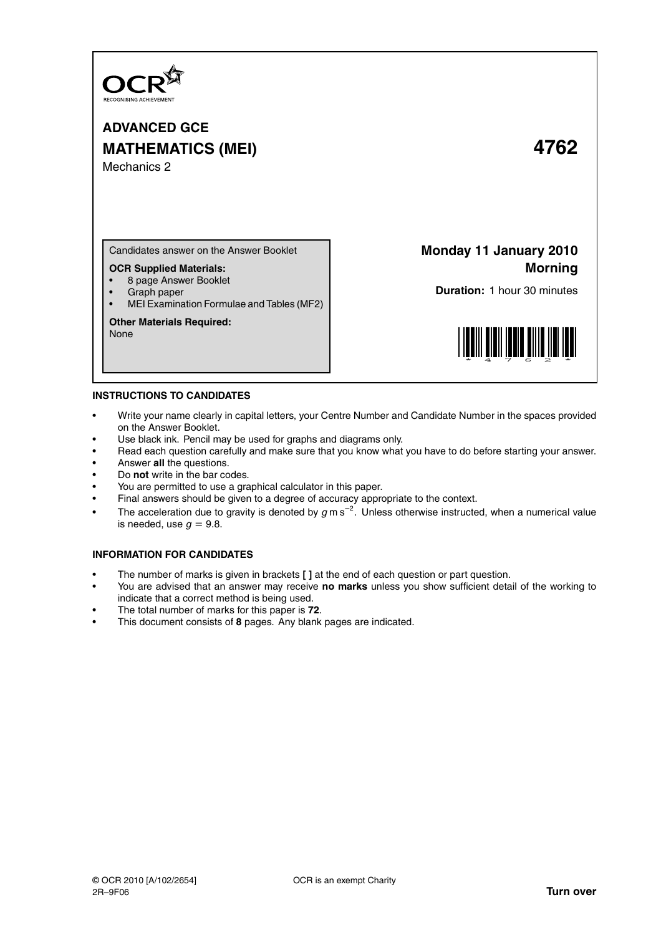

# **ADVANCED GCE MATHEMATICS (MEI) 4762** Mechanics 2

Candidates answer on the Answer Booklet

## **OCR Supplied Materials:**

- 8 page Answer Booklet
- Graph paper
- MEI Examination Formulae and Tables (MF2)

#### **Other Materials Required:**

None

# **Monday 11 January 2010 Morning**

**Duration:** 1 hour 30 minutes



#### **INSTRUCTIONS TO CANDIDATES**

- Write your name clearly in capital letters, your Centre Number and Candidate Number in the spaces provided on the Answer Booklet.
- Use black ink. Pencil may be used for graphs and diagrams only.
- Read each question carefully and make sure that you know what you have to do before starting your answer.
- Answer **all** the questions.
- Do **not** write in the bar codes.
- You are permitted to use a graphical calculator in this paper.
- Final answers should be given to a degree of accuracy appropriate to the context.
- The acceleration due to gravity is denoted by  $g$  m s<sup>-2</sup>. Unless otherwise instructed, when a numerical value is needed, use  $q = 9.8$ .

### **INFORMATION FOR CANDIDATES**

- The number of marks is given in brackets **[ ]** at the end of each question or part question.
- You are advised that an answer may receive **no marks** unless you show sufficient detail of the working to indicate that a correct method is being used.
- The total number of marks for this paper is **72**.
- This document consists of **8** pages. Any blank pages are indicated.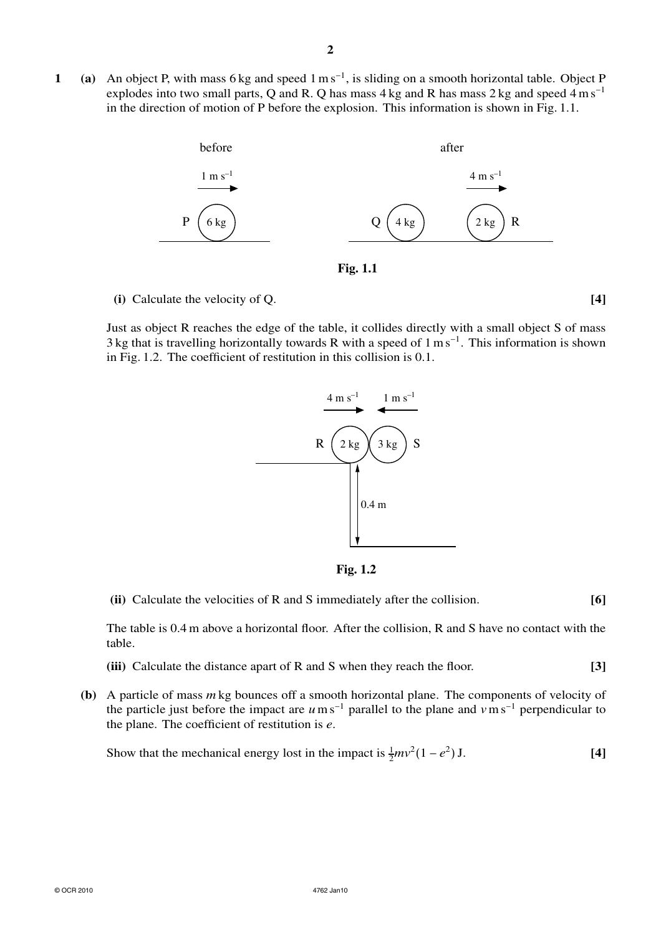**1** (a) An object P, with mass 6 kg and speed 1 m s<sup>−1</sup>, is sliding on a smooth horizontal table. Object P explodes into two small parts, Q and R. Q has mass 4 kg and R has mass 2 kg and speed  $4 \text{ m s}^{-1}$ in the direction of motion of P before the explosion. This information is shown in Fig. 1.1.



**(i)** Calculate the velocity of Q. **[4]**

Just as object R reaches the edge of the table, it collides directly with a small object S of mass 3 kg that is travelling horizontally towards R with a speed of  $1 \text{ m s}^{-1}$ . This information is shown in Fig. 1.2. The coefficient of restitution in this collision is 0.1.



**Fig. 1.2**

**(ii)** Calculate the velocities of R and S immediately after the collision. **[6]**

The table is 0.4 m above a horizontal floor. After the collision, R and S have no contact with the table.

**(iii)** Calculate the distance apart of R and S when they reach the floor. **[3]**

**(b)** A particle of mass *m* kg bounces off a smooth horizontal plane. The components of velocity of the particle just before the impact are *u*m s<sup>−</sup><sup>1</sup> parallel to the plane and *v*m s<sup>−</sup><sup>1</sup> perpendicular to the plane. The coefficient of restitution is *e*.

Show that the mechanical energy lost in the impact is  $\frac{1}{2}mv^2(1-e^2)$  J. **[4]**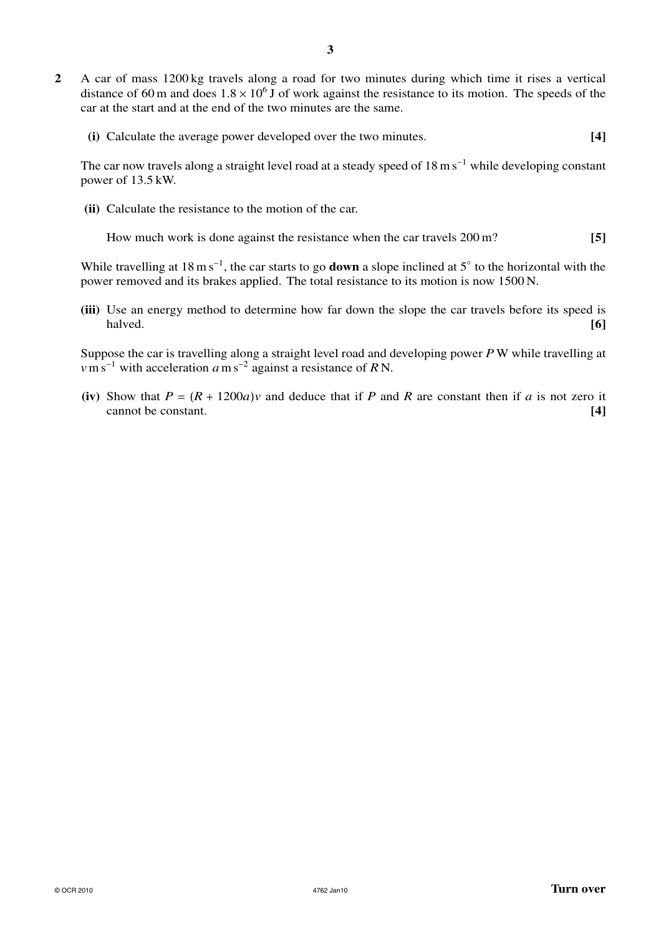- **2** A car of mass 1200 kg travels along a road for two minutes during which time it rises a vertical distance of 60 m and does  $1.8 \times 10^6$  J of work against the resistance to its motion. The speeds of the car at the start and at the end of the two minutes are the same.
	- **(i)** Calculate the average power developed over the two minutes. **[4]**

The car now travels along a straight level road at a steady speed of  $18 \text{ m s}^{-1}$  while developing constant power of 13.5 kW.

**(ii)** Calculate the resistance to the motion of the car.

How much work is done against the resistance when the car travels 200 m? **[5]**

While travelling at  $18 \text{ m s}^{-1}$ , the car starts to go **down** a slope inclined at  $5°$  to the horizontal with the power removed and its brakes applied. The total resistance to its motion is now 1500 N.

**(iii)** Use an energy method to determine how far down the slope the car travels before its speed is halved. **[6]**

Suppose the car is travelling along a straight level road and developing power *P* W while travelling at *v*m s<sup>−</sup><sup>1</sup> with acceleration *a*m s<sup>−</sup><sup>2</sup> against a resistance of *R* N.

**(iv)** Show that  $P = (R + 1200a)v$  and deduce that if *P* and *R* are constant then if *a* is not zero it cannot be constant. **[4]**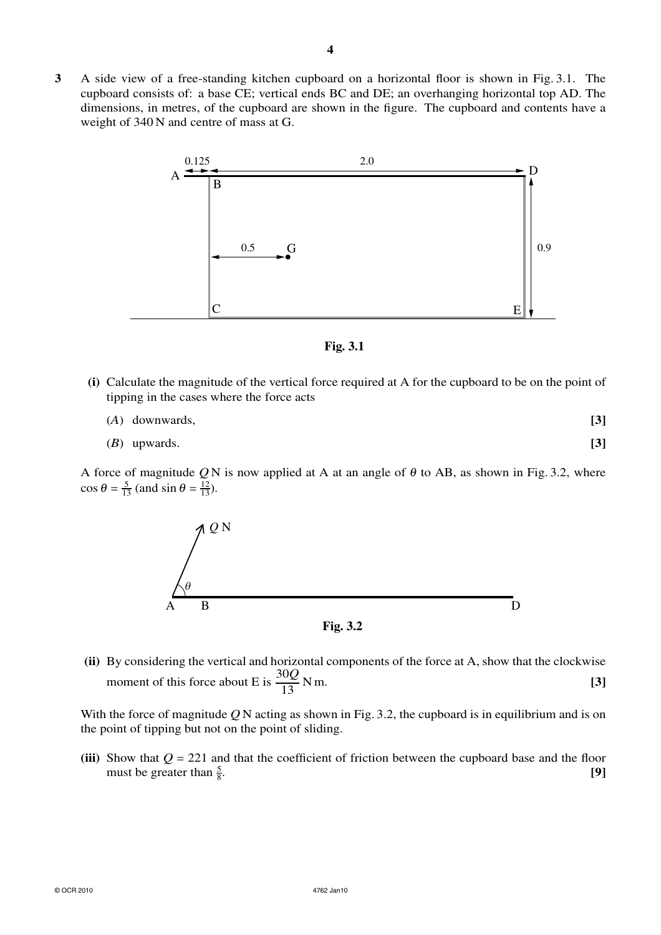

**Fig. 3.1**

- **(i)** Calculate the magnitude of the vertical force required at A for the cupboard to be on the point of tipping in the cases where the force acts
	- (*A*) downwards, **[3]**
	- (*B*) upwards. **[3]**

A force of magnitude  $QN$  is now applied at A at an angle of  $\theta$  to AB, as shown in Fig. 3.2, where  $\cos \theta = \frac{5}{13}$  (and  $\sin \theta = \frac{12}{13}$ ).



**Fig. 3.2**

**(ii)** By considering the vertical and horizontal components of the force at A, show that the clockwise moment of this force about E is  $\frac{30Q}{13}$ N m. **[3]**

With the force of magnitude Q N acting as shown in Fig. 3.2, the cupboard is in equilibrium and is on the point of tipping but not on the point of sliding.

(iii) Show that  $Q = 221$  and that the coefficient of friction between the cupboard base and the floor must be greater than  $\frac{5}{8}$ . **[9]**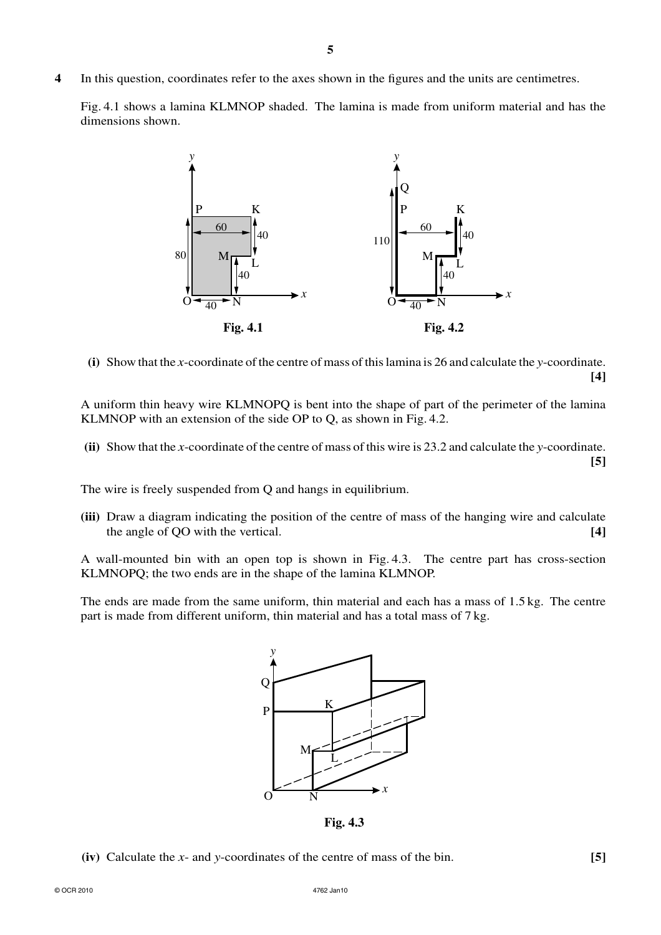**5**

Fig. 4.1 shows a lamina KLMNOP shaded. The lamina is made from uniform material and has the dimensions shown.



**(i)** Show that the *x*-coordinate of the centre of mass of this lamina is 26 and calculate the *y*-coordinate. **[4]**

A uniform thin heavy wire KLMNOPQ is bent into the shape of part of the perimeter of the lamina KLMNOP with an extension of the side OP to Q, as shown in Fig. 4.2.

**(ii)** Show that the *x*-coordinate of the centre of mass of this wire is 23.2 and calculate the *y*-coordinate. **[5]**

The wire is freely suspended from Q and hangs in equilibrium.

**(iii)** Draw a diagram indicating the position of the centre of mass of the hanging wire and calculate the angle of QO with the vertical. **[4]**

A wall-mounted bin with an open top is shown in Fig. 4.3. The centre part has cross-section KLMNOPQ; the two ends are in the shape of the lamina KLMNOP.

The ends are made from the same uniform, thin material and each has a mass of 1.5 kg. The centre part is made from different uniform, thin material and has a total mass of  $7 \text{ kg}$ .



**Fig. 4.3**

**(iv)** Calculate the *x*- and *y*-coordinates of the centre of mass of the bin. **[5]**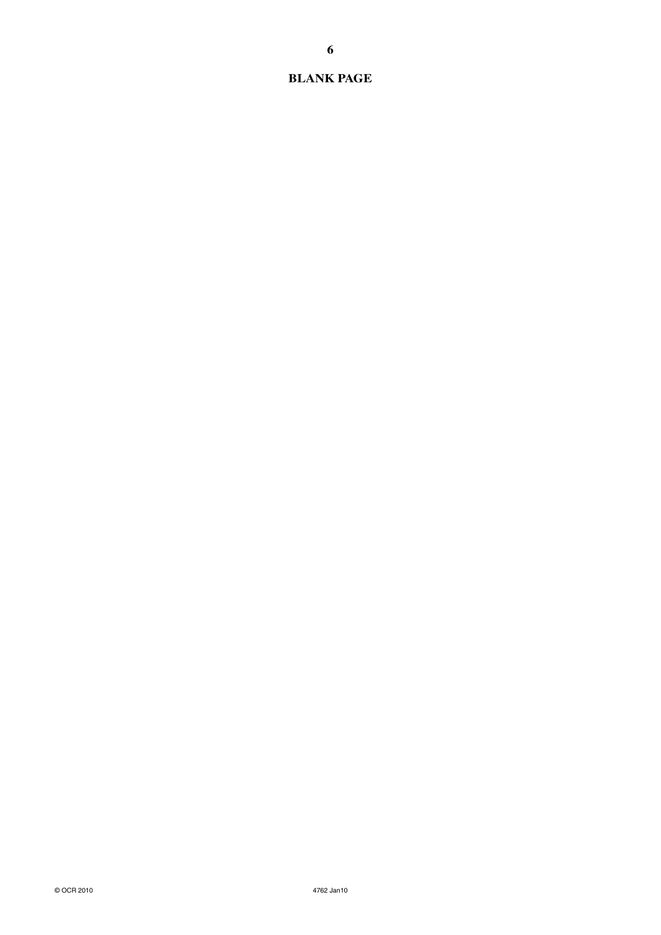# **BLANK PAGE**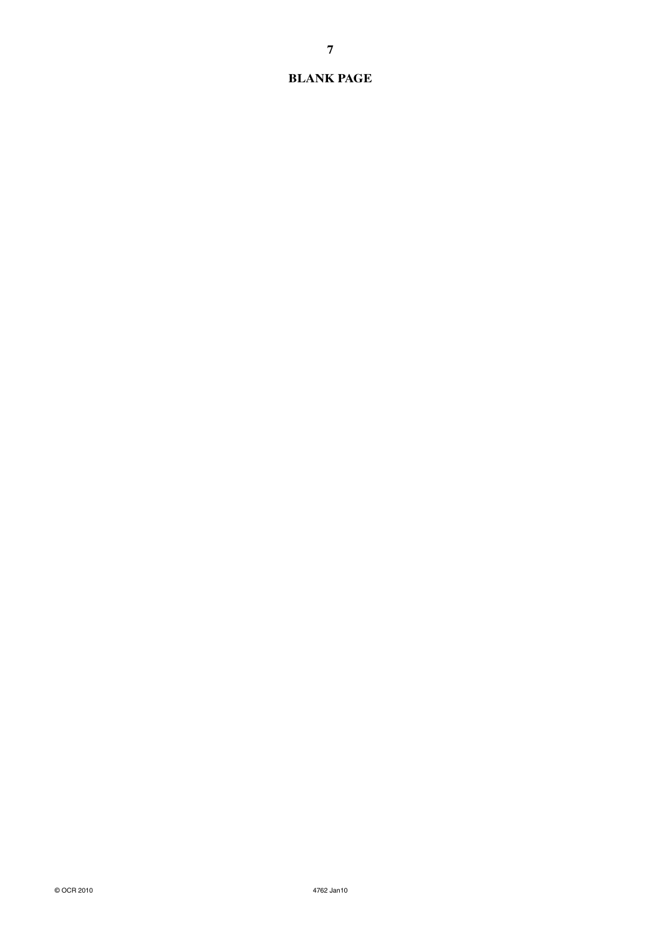# **BLANK PAGE**